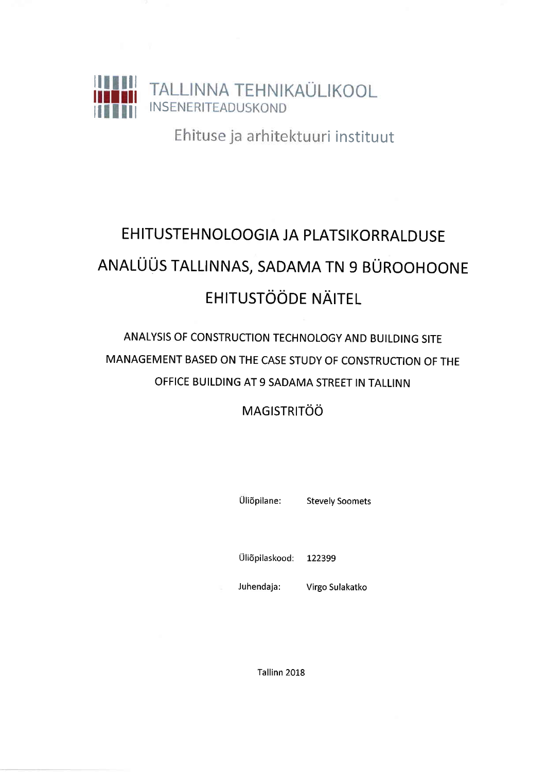

Ehituse ja arhitektuuri instituut

# EHITUSTEHNOLOOGIA JA PLATSIKORRALDUSE ANALÜÜS TALLINNAS, SADAMA TN 9 BÜROOHOONE **EHITUSTÖÖDE NÄITEL**

## ANALYSIS OF CONSTRUCTION TECHNOLOGY AND BUILDING SITE MANAGEMENT BASED ON THE CASE STUDY OF CONSTRUCTION OF THE OFFICE BUILDING AT 9 SADAMA STREET IN TALLINN

## **MAGISTRITÖÖ**

Üliõpilane:

**Stevely Soomets** 

Üliõpilaskood: 122399

Juhendaja: Virgo Sulakatko

Tallinn 2018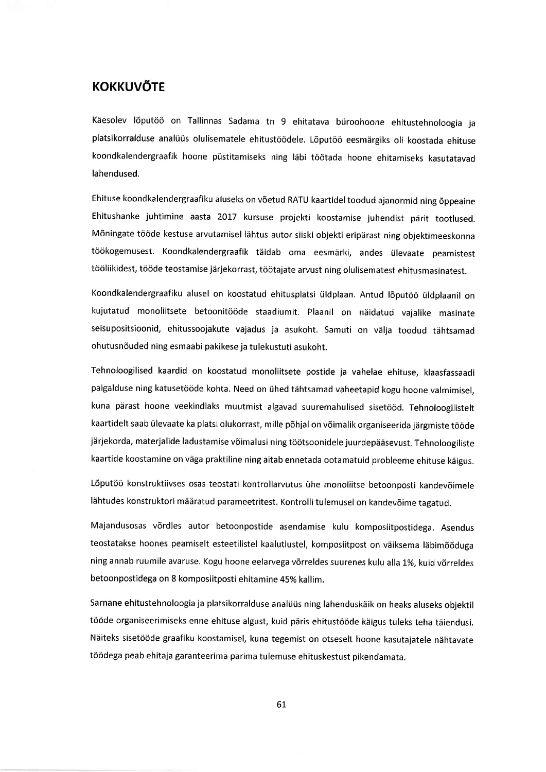#### **KOKKUVÕTE**

Käesolev lõputöö on Tallinnas Sadama tn 9 ehitatava büroohoone ehitustehnoloogia ja platsikorralduse analüüs olulisematele ehitustöödele. Lõputöö eesmärgiks oli koostada ehituse koondkalendergraafik hoone püstitamiseks ning läbi töötada hoone ehitamiseks kasutatavad lahendused.

Ehituse koondkalendergraafiku aluseks on v6etud RATU kaartideltoodud ajanormid ning 6ppeaine Ehitushanke juhtimine aasta 2017 kursuse projekti koostamise juhendist pärit tootlused. Mõningate tööde kestuse arvutamisel lähtus autor siiski objekti eripärast ning objektimeeskonna töökogemusest. Koondkalendergraafik täidab oma eesmärki, andes ülevaate peamistest tööliikidest, tööde teostamise järjekorrast, töötajate arvust ning olulisematest ehitusmasinatest.

Koondkalendergraafiku alusel on koostatud ehitusplatsi üldplaan. Antud lõputöö üldplaanil on kujutatud monoliitsete betoonitööde staadiumit. Plaanil on näidatud vajalike masinate seisupositsioonid, ehitussoojakute vajadus ja asukoht. Samuti on välja toodud tähtsamad ohutusn6uded ning esmaabi pakikese ja tulekustuti asukoht.

Tehnoloogilised kaardid on koostatud monoliitsete postide ja vahelae ehituse, klaasfassaadi paigalduse ning katusetööde kohta. Need on ühed tähtsamad vaheetapid kogu hoone valmimisel, kuna pärast hoone veekindlaks muutmist algavad suuremahulised sisetööd. Tehnoloogilistelt kaartidelt saab ülevaate ka platsi olukorrast, mille põhjal on võimalik organiseerida järgmiste tööde järjekorda, materjalide ladustamise võimalusi ning töötsoonidele juurdepääsevust. Tehnoloogiliste kaartide koostamine on väga praktiline ning aitab ennetada ootamatuid probleeme ehituse käigus.

Lõputöö konstruktiivses osas teostati kontrollarvutus ühe monoliitse betoonposti kandevõimele lähtudes konstruktori määratud parameetritest. Kontrolli tulemusel on kandevõime tagatud.

Majandusosas v6rdles autor betoonpostide asendamise kulu komposiitpostidega. Asendus teostatakse hoones peamiselt esteetilistel kaalutlustel, komposiitpost on väiksema läbimõõduga ning annab ruumile avaruse. Kogu hoone eelarvega võrreldes suurenes kulu alla 1%, kuid võrreldes betoonpostidega on 8 komposiitposti ehitamine 45% kallim.

Sarnane ehitustehnoloogia ja platsikorralduse analüüs ning lahenduskäik on heaks aluseks objektil tööde organiseerimiseks enne ehituse algust, kuid päris ehitustööde käigus tuleks teha täiendusi. Näiteks sisetööde graafiku koostamisel, kuna tegemist on otseselt hoone kasutajatele nähtavate töödega peab ehitaja garanteerima parima tulemuse ehituskestust pikendamata.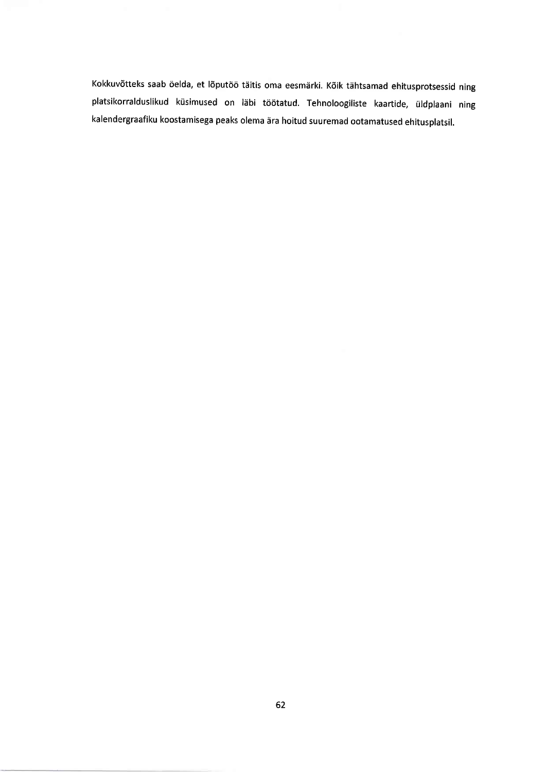Kokkuvõtteks saab öelda, et lõputöö täitis oma eesmärki. Kõik tähtsamad ehitusprotsessid ning platsikorralduslikud küsimused on läbi töötatud. Tehnoloogiliste kaartide, üldplaani ning kalendergraafiku koostamisega peaks olema 6ra hoitud suuremad ootamatused ehitusplatsil.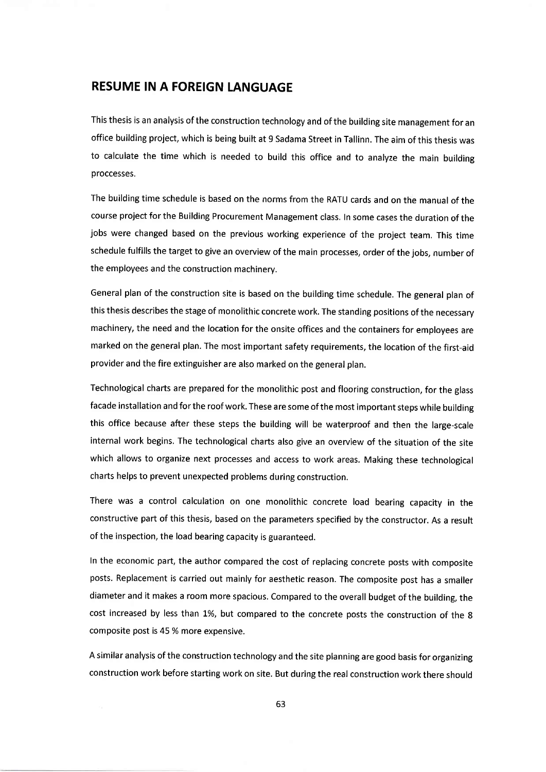### RESUME IN A FOREIGN LANGUAGE

This thesis is an analysis of the construction technology and of the building site management for an office building project, which is being built at 9 Sadama Street in Tallinn. The aim of this thesis was to calculate the time which is needed to build this office and to analyze the main building proccesses.

The building time schedule is based on the norms from the RATU cards and on the manual of the course project for the Building Procurement Management class. In some cases the duration of the jobs were changed based on the previous working experience of the project team, This time schedule fulfills the target to give an overview of the main processes, order of the jobs, number of the employees and the construction machinery.

General plan of the construction site is based on the building time schedule. The general plan of this thesis describes the stage of monolithic concrete work. The standing positions of the necessary machinery, the need and the location for the onsite offices and the containers for employees are marked on the general plan. The most important safety requirements, the location of the first-aid provider and the fire extinguisher are also marked on the general plan.

Technological charts are prepared for the monolithic post and flooring construction, for the glass facade installation and for the roof work. These are some of the most important steps while building this office because after these steps the building will be waterproof and then the large-scale internal work begins. The technological charts also give an overview of the situation of the site which allows to organize next processes and access to work areas. Making these technological charts helps to prevent unexpected problems during construction.

There was a control calculation on one monolithic concrete load bearing capacity in the constructive part of this thesis, based on the parameters specified by the constructor. As a result of the inspection, the load bearing capacity is guaranteed.

In the economic part, the author compared the cost of replacing concrete posts with composite posts. Replacement is carried out mainly for aesthetic reason. The composite post has a smaller diameter and it makes a room more spacious, Compared to the overall budget of the building, the cost increased by less than 1%, but compared to the concrete posts the construction of the 8 composite post is 45% more expensive.

<sup>A</sup>similar analysis of the construction technology and the site planning are good basis for organizing construction work before starting work on site. But during the real construction work there should